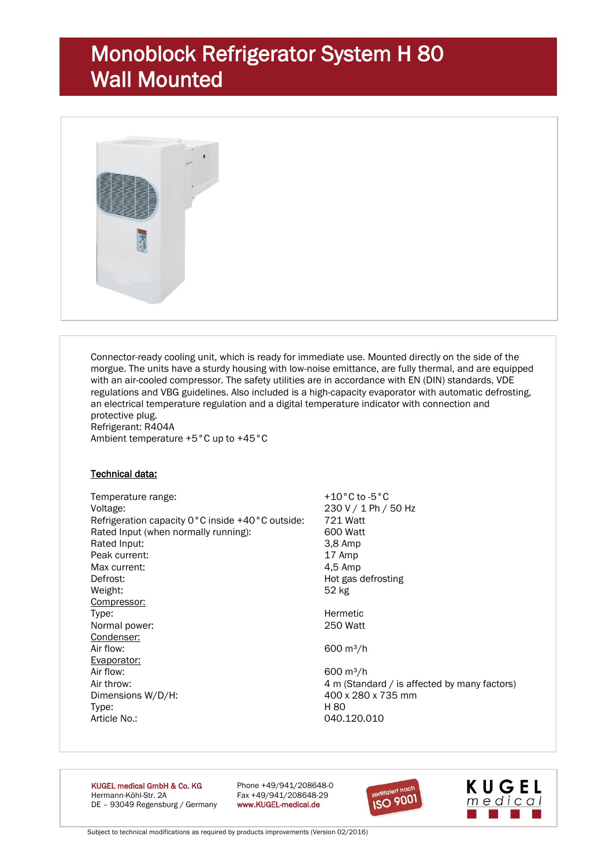# Monoblock Refrigerator System H 80 Wall Mounted



Connector-ready cooling unit, which is ready for immediate use. Mounted directly on the side of the morgue. The units have a sturdy housing with low-noise emittance, are fully thermal, and are equipped with an air-cooled compressor. The safety utilities are in accordance with EN (DIN) standards, VDE regulations and VBG guidelines. Also included is a high-capacity evaporator with automatic defrosting, an electrical temperature regulation and a digital temperature indicator with connection and protective plug. Refrigerant: R404A Ambient temperature +5°C up to +45°C

#### Technical data:

Temperature range:  $+10^{\circ}$ C to -5 °C Voltage: 230 V / 1 Ph / 50 Hz Refrigeration capacity 0°C inside +40°C outside: 721 Watt Rated Input (when normally running): 600 Watt Rated Input: 3.8 Amp Peak current: 17 Amp Max current: 4,5 Amp Defrost: Note as a befrosting method of the Hot gas defrosting Weight: 52 kg Compressor: Type: Type: Type: Type: Type: Type: Type: Type: Type: Type: Type: Type: Type: Type: Type: Type: Type: Type: Type: Type: Type: Type: Type: Type: Type: Type: Type: Type: Type: Type: Type: Type: Type: Type: Type: Type: Type: Normal power: Condenser: Air flow:  $600 \text{ m}^3/\text{h}$ Evaporator: Air flow:  $600 \text{ m}^3/\text{h}$ Air throw: 4 m (Standard / is affected by many factors) Dimensions W/D/H: 400 x 280 x 735 mm Type: H 80 Article No.: 040.120.010

KUGEL medical GmbH & Co. KG Phone +49/941/208648-0 Hermann-Köhl-Str. 2A Fax +49/941/208648-29<br>DE - 93049 Regensburg / Germany www.KUGEL-medical.de DE - 93049 Regensburg / Germany



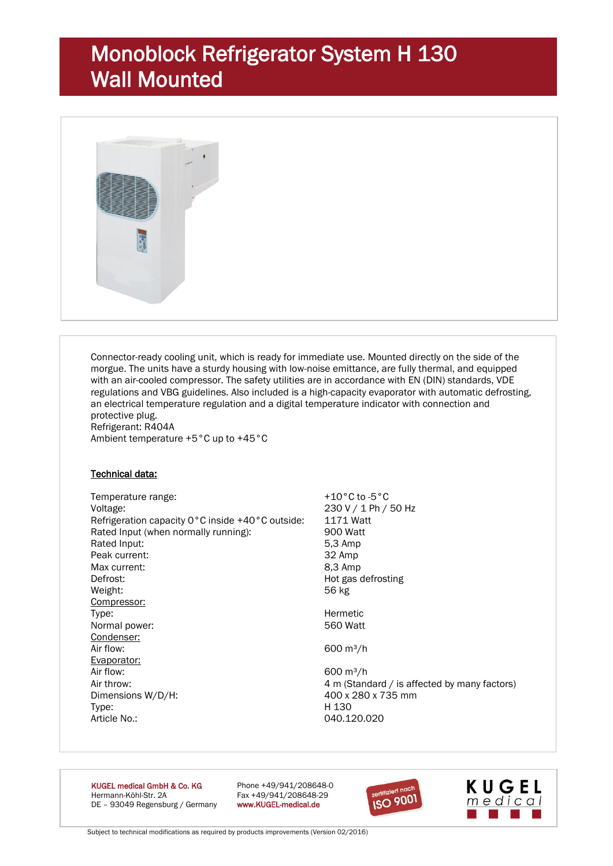# Monoblock Refrigerator System H 130 Wall Mounted



Connector-ready cooling unit, which is ready for immediate use. Mounted directly on the side of the morgue. The units have a sturdy housing with low-noise emittance, are fully thermal, and equipped with an air-cooled compressor. The safety utilities are in accordance with EN (DIN) standards, VDE regulations and VBG guidelines. Also included is a high-capacity evaporator with automatic defrosting, an electrical temperature regulation and a digital temperature indicator with connection and protective plug. Refrigerant: R404A Ambient temperature +5°C up to +45°C

#### Technical data:

Temperature range:  $+10^{\circ}$ C to -5 °C Voltage: 230 V / 1 Ph / 50 Hz Refrigeration capacity 0°C inside +40°C outside: 1171 Watt Rated Input (when normally running): 900 Watt Rated Input: 5.3 Amp Peak current: 32 Amp Max current: 8,3 Amp Defrost: Note as a befrosting method of the Hot gas defrosting Weight: 56 kg Compressor: Type: Type: Type: Type: Type: Type: Type: Type: Type: Type: Type: Type: Type: Type: Type: Type: Type: Type: Type: Type: Type: Type: Type: Type: Type: Type: Type: Type: Type: Type: Type: Type: Type: Type: Type: Type: Type: Normal power: Condenser: Air flow:  $600 \text{ m}^3/\text{h}$ Evaporator: Air flow:  $600 \text{ m}^3/\text{h}$ Air throw: 4 m (Standard / is affected by many factors) Dimensions W/D/H: 400 x 280 x 735 mm Type: H 130 Article No.: 040.120.020

KUGEL medical GmbH & Co. KG Phone +49/941/208648-0 Hermann-Köhl-Str. 2A Fax +49/941/208648-29<br>DE - 93049 Regensburg / Germany www.KUGEL-medical.de DE - 93049 Regensburg / Germany



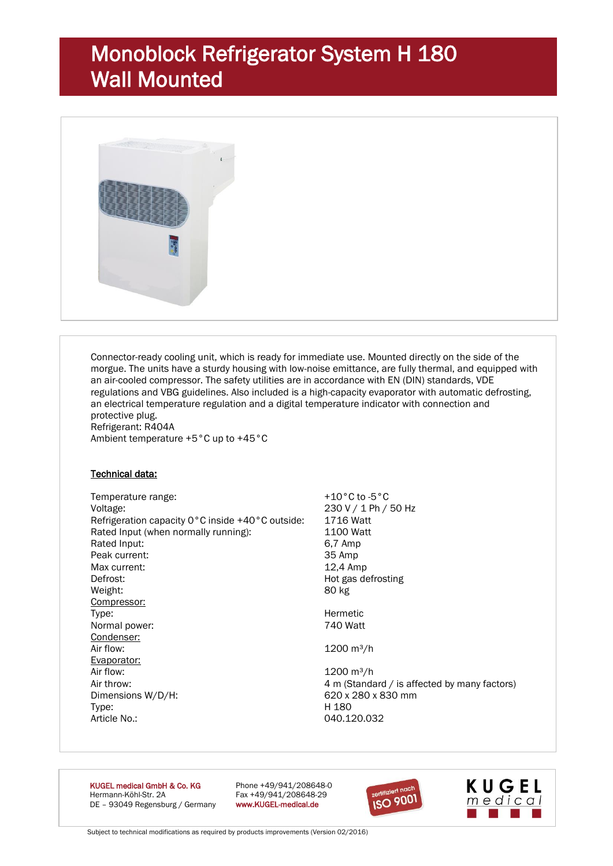# Monoblock Refrigerator System H 180 Wall Mounted



Connector-ready cooling unit, which is ready for immediate use. Mounted directly on the side of the morgue. The units have a sturdy housing with low-noise emittance, are fully thermal, and equipped with an air-cooled compressor. The safety utilities are in accordance with EN (DIN) standards, VDE regulations and VBG guidelines. Also included is a high-capacity evaporator with automatic defrosting, an electrical temperature regulation and a digital temperature indicator with connection and protective plug. Refrigerant: R404A Ambient temperature +5°C up to +45°C

#### Technical data:

Temperature range:  $+10^{\circ}$ C to -5 °C Voltage: 230 V / 1 Ph / 50 Hz Refrigeration capacity 0°C inside +40°C outside: 1716 Watt Rated Input (when normally running): 1100 Watt Rated Input: 6.7 Amp Peak current: 35 Amp Max current: 12,4 Amp Defrost: Note as a befrosting method of the Hot gas defrosting Weight: 80 kg Compressor: Type: Type: Type: Type: Type: Type: Type: Type: Type: Type: Type: Type: Type: Type: Type: Type: Type: Type: Type: Type: Type: Type: Type: Type: Type: Type: Type: Type: Type: Type: Type: Type: Type: Type: Type: Type: Type: Normal power: Condenser: Air flow:  $1200 \text{ m}^3/\text{h}$ Evaporator: Air flow: 1200 m<sup>3</sup>/h Air throw: 4 m (Standard / is affected by many factors) Dimensions W/D/H: 620 x 280 x 830 mm Type: H 180 Article No.: 040.120.032

KUGEL medical GmbH & Co. KG Phone +49/941/208648-0 Hermann-Köhl-Str. 2A Fax +49/941/208648-29 DE - 93049 Regensburg / Germany www.KUGEL-medical.de



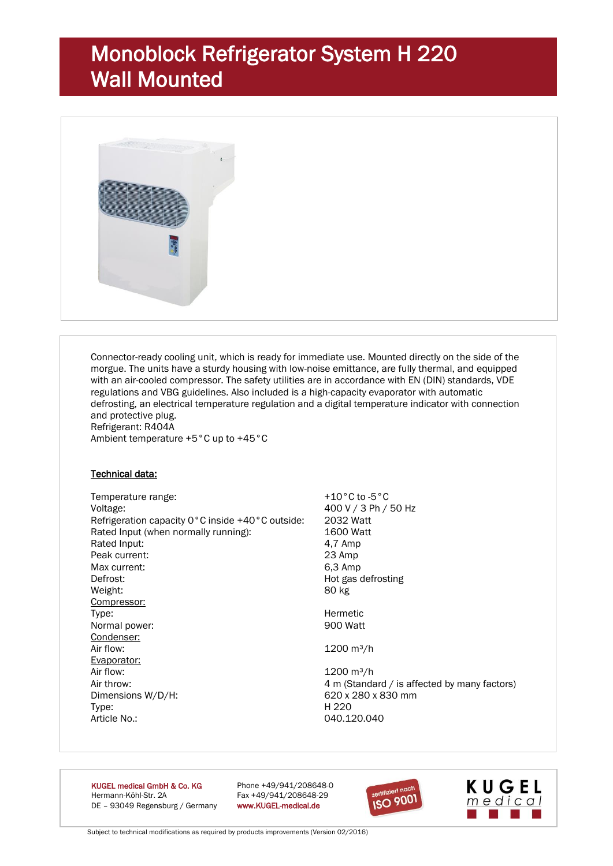# Monoblock Refrigerator System H 220 Wall Mounted



Connector-ready cooling unit, which is ready for immediate use. Mounted directly on the side of the morgue. The units have a sturdy housing with low-noise emittance, are fully thermal, and equipped with an air-cooled compressor. The safety utilities are in accordance with EN (DIN) standards, VDE regulations and VBG guidelines. Also included is a high-capacity evaporator with automatic defrosting, an electrical temperature regulation and a digital temperature indicator with connection and protective plug. Refrigerant: R404A Ambient temperature +5°C up to +45°C

#### Technical data:

Temperature range:  $+10^{\circ}$ C to -5 °C Voltage: 400 V / 3 Ph / 50 Hz Refrigeration capacity 0°C inside +40°C outside: 2032 Watt Rated Input (when normally running): 1600 Watt Rated Input: 4.7 Amp Peak current: 23 Amp Max current: 6,3 Amp Defrost: Note as a befrosting method of the Hot gas defrosting Weight: 80 kg Compressor: Type: Type: Example of the Control of the Morman Hermetic Normal power: All the Morman Hermetic Solution of the Morman Hermetic Solution of the Morman Hermetic Solution of the Morman Hermetic Solution of the Morman Hermeti Normal power: Condenser: Air flow:  $1200 \text{ m}^3/\text{h}$ Evaporator: Air flow: 1200 m<sup>3</sup>/h Air throw: 4 m (Standard / is affected by many factors) Dimensions W/D/H: 620 x 280 x 830 mm Type: H 220 Article No.: 040.120.040

KUGEL medical GmbH & Co. KG Phone +49/941/208648-0 Hermann-Köhl-Str. 2A Fax +49/941/208648-29 DE – 93049 Regensburg / Germany www.KUGEL-medical.de